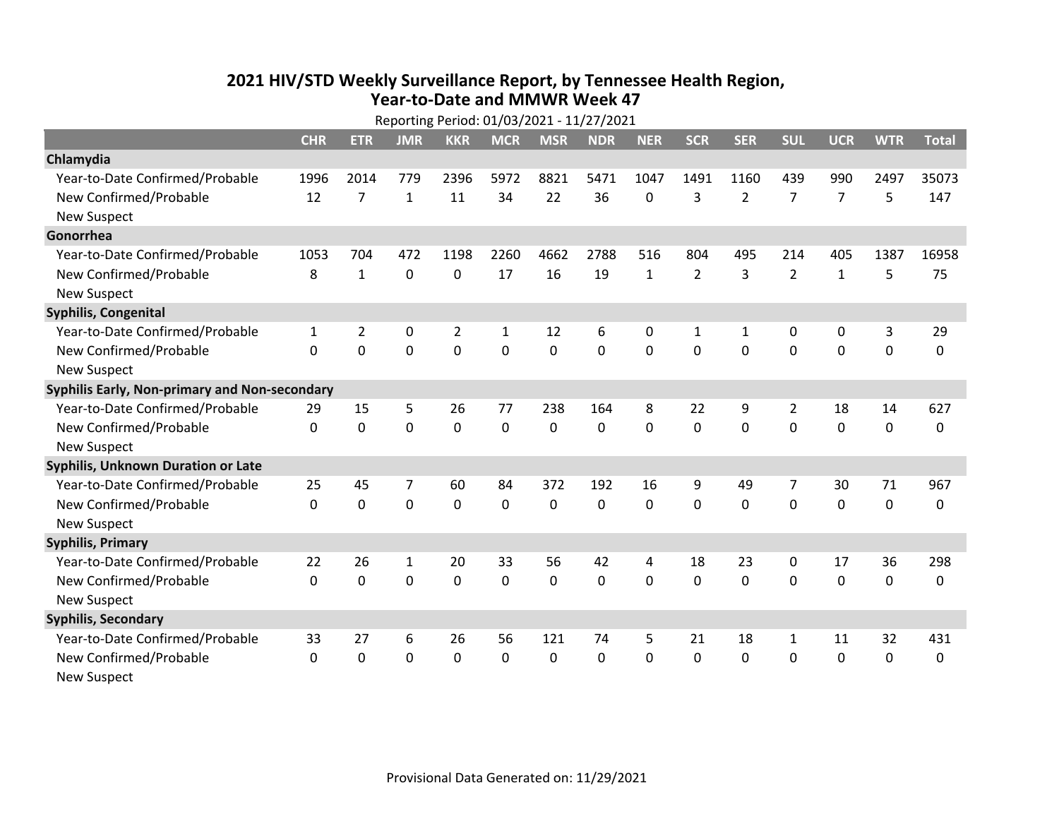## **2021 HIV /STD Weekly Surveillance Report, by Tennessee Health Region, Year‐to‐Date and MMWR Week 47** Reporting Period: 01/03/2021 ‐ 11/27/2021

| Reporting Period: 01/03/2021 - 11/27/2021     |            |                |                |                |              |             |            |             |                |                |                |                |             |              |
|-----------------------------------------------|------------|----------------|----------------|----------------|--------------|-------------|------------|-------------|----------------|----------------|----------------|----------------|-------------|--------------|
|                                               | <b>CHR</b> | <b>ETR</b>     | <b>JMR</b>     | <b>KKR</b>     | <b>MCR</b>   | <b>MSR</b>  | <b>NDR</b> | <b>NER</b>  | <b>SCR</b>     | <b>SER</b>     | <b>SUL</b>     | <b>UCR</b>     | <b>WTR</b>  | <b>Total</b> |
| Chlamydia                                     |            |                |                |                |              |             |            |             |                |                |                |                |             |              |
| Year-to-Date Confirmed/Probable               | 1996       | 2014           | 779            | 2396           | 5972         | 8821        | 5471       | 1047        | 1491           | 1160           | 439            | 990            | 2497        | 35073        |
| New Confirmed/Probable                        | 12         | $\overline{7}$ | $\mathbf{1}$   | 11             | 34           | 22          | 36         | 0           | 3              | $\overline{2}$ | $\overline{7}$ | $\overline{7}$ | 5           | 147          |
| <b>New Suspect</b>                            |            |                |                |                |              |             |            |             |                |                |                |                |             |              |
| Gonorrhea                                     |            |                |                |                |              |             |            |             |                |                |                |                |             |              |
| Year-to-Date Confirmed/Probable               | 1053       | 704            | 472            | 1198           | 2260         | 4662        | 2788       | 516         | 804            | 495            | 214            | 405            | 1387        | 16958        |
| New Confirmed/Probable                        | 8          | $\mathbf{1}$   | $\mathbf 0$    | 0              | 17           | 16          | 19         | $\mathbf 1$ | $\overline{2}$ | 3              | $\overline{2}$ | $\mathbf{1}$   | 5           | 75           |
| <b>New Suspect</b>                            |            |                |                |                |              |             |            |             |                |                |                |                |             |              |
| <b>Syphilis, Congenital</b>                   |            |                |                |                |              |             |            |             |                |                |                |                |             |              |
| Year-to-Date Confirmed/Probable               | 1          | $\overline{2}$ | 0              | $\overline{2}$ | 1            | 12          | 6          | 0           | 1              | 1              | 0              | 0              | 3           | 29           |
| New Confirmed/Probable                        | $\Omega$   | $\mathbf 0$    | $\overline{0}$ | $\mathbf 0$    | $\mathbf 0$  | $\mathbf 0$ | 0          | $\Omega$    | $\Omega$       | $\mathbf 0$    | $\mathbf 0$    | $\mathbf 0$    | $\mathbf 0$ | 0            |
| <b>New Suspect</b>                            |            |                |                |                |              |             |            |             |                |                |                |                |             |              |
| Syphilis Early, Non-primary and Non-secondary |            |                |                |                |              |             |            |             |                |                |                |                |             |              |
| Year-to-Date Confirmed/Probable               | 29         | 15             | 5              | 26             | 77           | 238         | 164        | 8           | 22             | 9              | $\overline{2}$ | 18             | 14          | 627          |
| New Confirmed/Probable                        | $\Omega$   | 0              | 0              | 0              | 0            | 0           | 0          | $\Omega$    | $\Omega$       | 0              | 0              | 0              | $\mathbf 0$ | 0            |
| <b>New Suspect</b>                            |            |                |                |                |              |             |            |             |                |                |                |                |             |              |
| Syphilis, Unknown Duration or Late            |            |                |                |                |              |             |            |             |                |                |                |                |             |              |
| Year-to-Date Confirmed/Probable               | 25         | 45             | 7              | 60             | 84           | 372         | 192        | 16          | 9              | 49             | 7              | 30             | 71          | 967          |
| New Confirmed/Probable                        | 0          | $\mathbf 0$    | $\overline{0}$ | $\mathbf 0$    | 0            | 0           | $\Omega$   | $\Omega$    | $\Omega$       | 0              | $\mathbf 0$    | 0              | $\mathbf 0$ | 0            |
| <b>New Suspect</b>                            |            |                |                |                |              |             |            |             |                |                |                |                |             |              |
| <b>Syphilis, Primary</b>                      |            |                |                |                |              |             |            |             |                |                |                |                |             |              |
| Year-to-Date Confirmed/Probable               | 22         | 26             | $\mathbf{1}$   | 20             | 33           | 56          | 42         | 4           | 18             | 23             | 0              | 17             | 36          | 298          |
| New Confirmed/Probable                        | 0          | 0              | $\mathbf 0$    | $\mathbf 0$    | $\mathbf 0$  | $\mathbf 0$ | 0          | $\Omega$    | $\mathbf{0}$   | 0              | $\mathbf 0$    | 0              | $\mathbf 0$ | 0            |
| <b>New Suspect</b>                            |            |                |                |                |              |             |            |             |                |                |                |                |             |              |
| <b>Syphilis, Secondary</b>                    |            |                |                |                |              |             |            |             |                |                |                |                |             |              |
| Year-to-Date Confirmed/Probable               | 33         | 27             | 6              | 26             | 56           | 121         | 74         | 5           | 21             | 18             | $\mathbf{1}$   | 11             | 32          | 431          |
| New Confirmed/Probable                        | $\Omega$   | $\mathbf{0}$   | 0              | $\mathbf{0}$   | $\mathbf{0}$ | 0           | 0          | $\Omega$    | $\mathbf{0}$   | $\Omega$       | $\mathbf{0}$   | $\mathbf{0}$   | 0           | 0            |
| <b>New Suspect</b>                            |            |                |                |                |              |             |            |             |                |                |                |                |             |              |